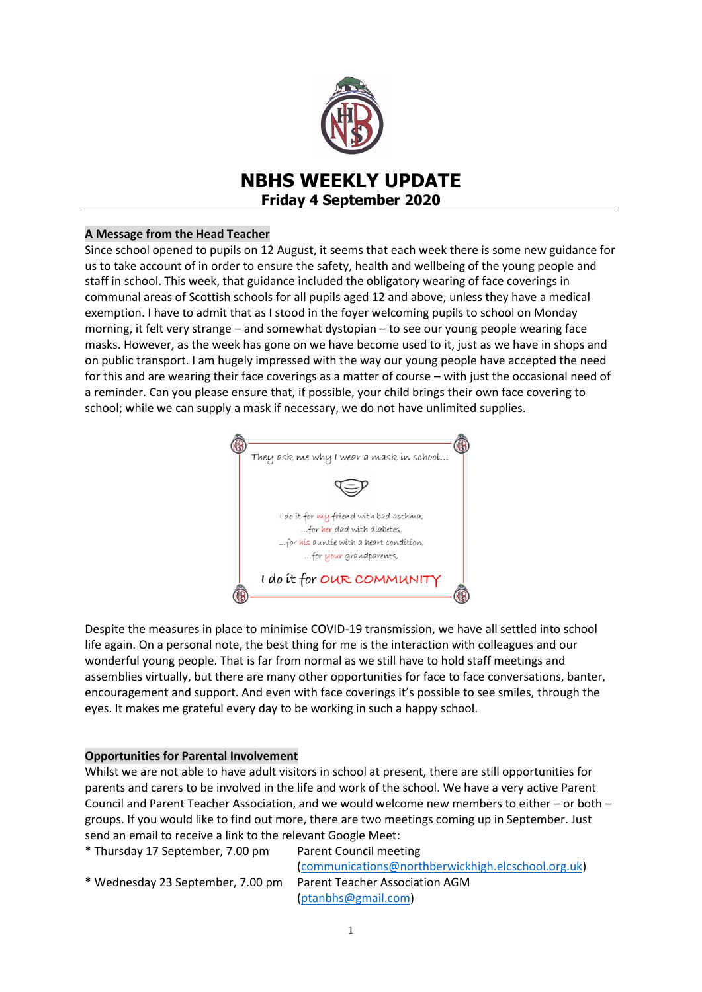

# **NBHS WEEKLY UPDATE Friday 4 September 2020**

## **A Message from the Head Teacher**

Since school opened to pupils on 12 August, it seems that each week there is some new guidance for us to take account of in order to ensure the safety, health and wellbeing of the young people and staff in school. This week, that guidance included the obligatory wearing of face coverings in communal areas of Scottish schools for all pupils aged 12 and above, unless they have a medical exemption. I have to admit that as I stood in the foyer welcoming pupils to school on Monday morning, it felt very strange – and somewhat dystopian – to see our young people wearing face masks. However, as the week has gone on we have become used to it, just as we have in shops and on public transport. I am hugely impressed with the way our young people have accepted the need for this and are wearing their face coverings as a matter of course – with just the occasional need of a reminder. Can you please ensure that, if possible, your child brings their own face covering to school; while we can supply a mask if necessary, we do not have unlimited supplies.



Despite the measures in place to minimise COVID-19 transmission, we have all settled into school life again. On a personal note, the best thing for me is the interaction with colleagues and our wonderful young people. That is far from normal as we still have to hold staff meetings and assemblies virtually, but there are many other opportunities for face to face conversations, banter, encouragement and support. And even with face coverings it's possible to see smiles, through the eyes. It makes me grateful every day to be working in such a happy school.

#### **Opportunities for Parental Involvement**

Whilst we are not able to have adult visitors in school at present, there are still opportunities for parents and carers to be involved in the life and work of the school. We have a very active Parent Council and Parent Teacher Association, and we would welcome new members to either – or both – groups. If you would like to find out more, there are two meetings coming up in September. Just send an email to receive a link to the relevant Google Meet:

\* Thursday 17 September, 7.00 pm Parent Council meeting

[\(communications@northberwickhigh.elcschool.org.uk\)](mailto:communications@northberwickhigh.elcschool.org.uk) [\(ptanbhs@gmail.com\)](mailto:ptanbhs@gmail.com)